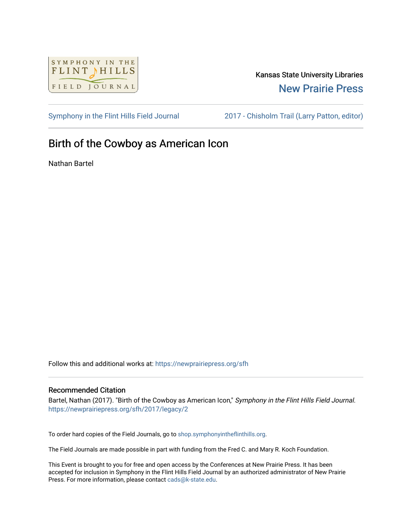

## Kansas State University Libraries [New Prairie Press](https://newprairiepress.org/)

[Symphony in the Flint Hills Field Journal](https://newprairiepress.org/sfh) [2017 - Chisholm Trail \(Larry Patton, editor\)](https://newprairiepress.org/sfh/2017) 

## Birth of the Cowboy as American Icon

Nathan Bartel

Follow this and additional works at: [https://newprairiepress.org/sfh](https://newprairiepress.org/sfh?utm_source=newprairiepress.org%2Fsfh%2F2017%2Flegacy%2F2&utm_medium=PDF&utm_campaign=PDFCoverPages)

## Recommended Citation

Bartel, Nathan (2017). "Birth of the Cowboy as American Icon," Symphony in the Flint Hills Field Journal. <https://newprairiepress.org/sfh/2017/legacy/2>

To order hard copies of the Field Journals, go to [shop.symphonyintheflinthills.org.](http://shop.symphonyintheflinthills.org/)

The Field Journals are made possible in part with funding from the Fred C. and Mary R. Koch Foundation.

This Event is brought to you for free and open access by the Conferences at New Prairie Press. It has been accepted for inclusion in Symphony in the Flint Hills Field Journal by an authorized administrator of New Prairie Press. For more information, please contact [cads@k-state.edu.](mailto:cads@k-state.edu)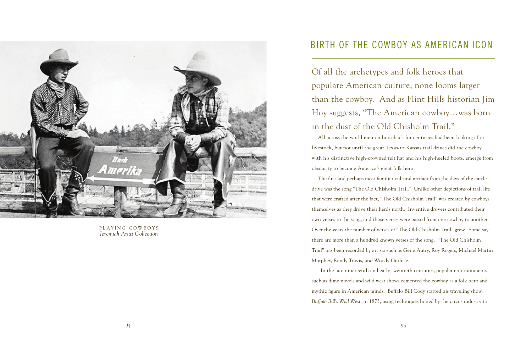

PLAYING COWBOYS *Jeremiah Ariaz Collection*

## BIRTH OF THE COWBOY AS AMERICAN ICON

Of all the archetypes and folk heroes that populate American culture, none looms larger than the cowboy. And as Flint Hills historian Jim Hoy suggests, "The American cowboy…was born in the dust of the Old Chisholm Trail."

All across the world men on horseback for centuries had been looking after livestock, but not until the great Texas-to-Kansas trail drives did the cowboy, with his distinctive high-crowned felt hat and his high-heeled boots, emerge from obscurity to become America's great folk hero.

The first and perhaps most familiar cultural artifact from the days of the cattle drive was the song "The Old Chisholm Trail." Unlike other depictions of trail life that were crafted after the fact, "The Old Chisholm Trail" was created by cowboys themselves as they drove their herds north. Inventive drovers contributed their own verses to the song, and those verses were passed from one cowboy to another. Over the years the number of verses of "The Old Chisholm Trail" grew. Some say there are more than a hundred known verses of the song. "The Old Chisholm Trail" has been recorded by artists such as Gene Autry, Roy Rogers, Michael Martin Murphey, Randy Travis, and Woody Guthrie.

 In the late nineteenth and early twentieth centuries, popular entertainments such as dime novels and wild west shows cemented the cowboy as a folk hero and mythic figure in American minds. Buffalo Bill Cody started his traveling show, *Buffalo Bill's Wild West*, in 1873, using techniques honed by the circus industry to